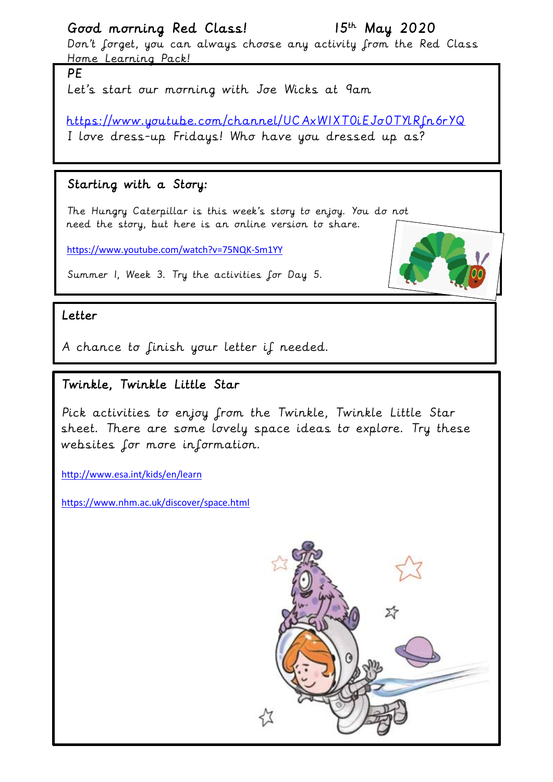## Good morning Red Class! 15th May 2020

Don't forget, you can always choose any activity from the Red Class Home Learning Pack!

PE

Let's start our morning with Joe Wicks at 9am

<https://www.youtube.com/channel/UCAxW1XT0iEJo0TYlRfn6rYQ> I love dress-up Fridays! Who have you dressed up as?

### Starting with a Story:

The Hungry Caterpillar is this week's story to enjoy. You do not need the story, but here is an online version to share.

<https://www.youtube.com/watch?v=75NQK-Sm1YY>



#### Letter

A chance to finish your letter if needed.

### Twinkle, Twinkle Little Star

Pick activities to enjoy from the Twinkle, Twinkle Little Star sheet. There are some lovely space ideas to explore. Try these websites for more information.

<http://www.esa.int/kids/en/learn>

<https://www.nhm.ac.uk/discover/space.html>